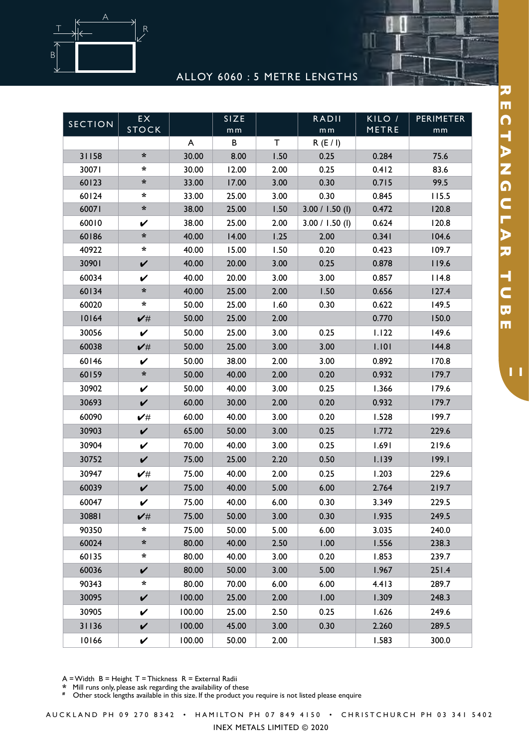

ALLOY 6060 : 5 METRE LENGTHS

W

| <b>SECTION</b> | EX<br><b>STOCK</b>   |        | SIZE<br>m <sub>m</sub> |             | <b>RADII</b><br>m <sub>m</sub> | KILO /<br>METRE | <b>PERIMETER</b><br>mm |
|----------------|----------------------|--------|------------------------|-------------|--------------------------------|-----------------|------------------------|
|                |                      | A      | В                      | $\mathsf T$ | R(E/I)                         |                 |                        |
| 31158          | $\ast$               | 30.00  | 8.00                   | 1.50        | 0.25                           | 0.284           | 75.6                   |
| 30071          | $\ast$               | 30.00  | 12.00                  | 2.00        | 0.25                           | 0.412           | 83.6                   |
| 60123          | $\ast$               | 33.00  | 17.00                  | 3.00        | 0.30                           | 0.715           | 99.5                   |
| 60124          | $\ast$               | 33.00  | 25.00                  | 3.00        | 0.30                           | 0.845           | 115.5                  |
| 60071          | $\boldsymbol{\star}$ | 38.00  | 25.00                  | 1.50        | $3.00 / 1.50$ (l)              | 0.472           | 120.8                  |
| 60010          | V                    | 38.00  | 25.00                  | 2.00        | $3.00 / 1.50$ (l)              | 0.624           | 120.8                  |
| 60186          | $\boldsymbol{\star}$ | 40.00  | 14.00                  | 1.25        | 2.00                           | 0.341           | 104.6                  |
| 40922          | $\ast$               | 40.00  | 15.00                  | 1.50        | 0.20                           | 0.423           | 109.7                  |
| 30901          | $\checkmark$         | 40.00  | 20.00                  | 3.00        | 0.25                           | 0.878           | 119.6                  |
| 60034          | V                    | 40.00  | 20.00                  | 3.00        | 3.00                           | 0.857           | 114.8                  |
| 60134          | $\star$              | 40.00  | 25.00                  | 2.00        | 1.50                           | 0.656           | 127.4                  |
| 60020          | $\ast$               | 50.00  | 25.00                  | 1.60        | 0.30                           | 0.622           | 149.5                  |
| 10164          | $\checkmark$         | 50.00  | 25.00                  | 2.00        |                                | 0.770           | 150.0                  |
| 30056          | V                    | 50.00  | 25.00                  | 3.00        | 0.25                           | 1.122           | 149.6                  |
| 60038          | $\checkmark$         | 50.00  | 25.00                  | 3.00        | 3.00                           | 1.101           | 144.8                  |
| 60146          | V                    | 50.00  | 38.00                  | 2.00        | 3.00                           | 0.892           | 170.8                  |
| 60159          | $\pmb{\ast}$         | 50.00  | 40.00                  | 2.00        | 0.20                           | 0.932           | 179.7                  |
| 30902          | V                    | 50.00  | 40.00                  | 3.00        | 0.25                           | 1.366           | 179.6                  |
| 30693          | $\checkmark$         | 60.00  | 30.00                  | 2.00        | 0.20                           | 0.932           | 179.7                  |
| 60090          | ✔#                   | 60.00  | 40.00                  | 3.00        | 0.20                           | 1.528           | 199.7                  |
| 30903          | $\checkmark$         | 65.00  | 50.00                  | 3.00        | 0.25                           | 1.772           | 229.6                  |
| 30904          | V                    | 70.00  | 40.00                  | 3.00        | 0.25                           | 1.691           | 219.6                  |
| 30752          | $\checkmark$         | 75.00  | 25.00                  | 2.20        | 0.50                           | 1.139           | 199.1                  |
| 30947          | ✔#                   | 75.00  | 40.00                  | 2.00        | 0.25                           | 1.203           | 229.6                  |
| 60039          | $\checkmark$         | 75.00  | 40.00                  | 5.00        | 6.00                           | 2.764           | 219.7                  |
| 60047          | V                    | 75.00  | 40.00                  | 6.00        | 0.30                           | 3.349           | 229.5                  |
| 30881          | $\checkmark$         | 75.00  | 50.00                  | 3.00        | 0.30                           | 1.935           | 249.5                  |
| 90350          | $\star$              | 75.00  | 50.00                  | 5.00        | 6.00                           | 3.035           | 240.0                  |
| 60024          | *                    | 80.00  | 40.00                  | 2.50        | 1.00                           | 1.556           | 238.3                  |
| 60135          | *                    | 80.00  | 40.00                  | 3.00        | 0.20                           | 1.853           | 239.7                  |
| 60036          | $\checkmark$         | 80.00  | 50.00                  | 3.00        | 5.00                           | 1.967           | 251.4                  |
| 90343          | $\star$              | 80.00  | 70.00                  | 6.00        | 6.00                           | 4.413           | 289.7                  |
| 30095          | $\checkmark$         | 100.00 | 25.00                  | 2.00        | 1.00                           | 1.309           | 248.3                  |
| 30905          | V                    | 100.00 | 25.00                  | 2.50        | 0.25                           | 1.626           | 249.6                  |
| 31136          | $\checkmark$         | 100.00 | 45.00                  | 3.00        | 0.30                           | 2.260           | 289.5                  |
| 10166          | V                    | 100.00 | 50.00                  | 2.00        |                                | 1.583           | 300.0                  |

**\*** Mill runs only, please ask regarding the availability of these

<sup>2</sup> This case only, picace ask regarding are arametics, or according to the product you require is not listed please enquire

A U C K L A N D P H 0 9 2 7 0 8 3 4 2 • H A M I L T ON P H 0 7 8 4 9 4 1 5 0 • C H R IST C H U R C H P H 0 3 34 1 5 4 0 2

INEX METALS LIMITED © 2020